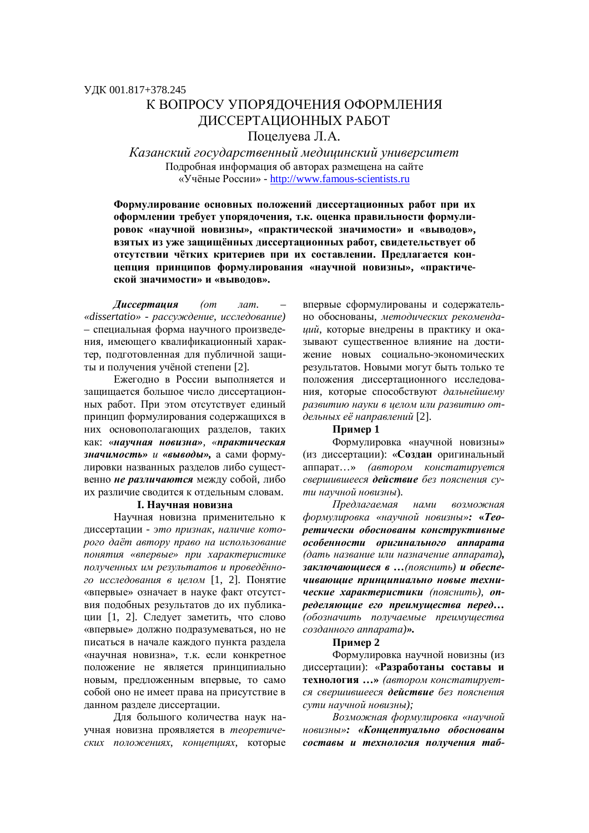# К ВОПРОСУ УПОРЯЛОЧЕНИЯ ОФОРМЛЕНИЯ ДИССЕРТАЦИОННЫХ РАБОТ Поцелуева Л.А.

Kазанский государственный медицинский университет Подробная информация об авторах размещена на сайте ©ɍɱɺɧɵɟɊɨɫɫɢɢ» - http://www.famous-scientists.ru

Формулирование основных положений диссертационных работ при их **иформлении требует упорядочения, т.к. оценка правильности формули**ровок «научной новизны», «практической значимости» и «выводов», взятых из уже защищённых диссертационных работ, свидетельствует об **отсутствии чётких критериев при их составлении. Предлагается кон**цепция принципов формулирования «научной новизны», «практиче- $\mathbf{c}$ кой значимости» и «выволов».

**Диссертация** (от лат. «dissertatio» - рассуждение, исследование) – специальная форма научного произведения, имеющего квалификационный характер, подготовленная для публичной зашиты и получения учёной степени [2].

Ежегодно в России выполняется и защищается большое число диссертационных работ. При этом отсутствует единый принцип формулирования содержащихся в них основополагающих разделов, таких как: «научная новизна», «практическая **значимость»** и «выводы», а сами формулировки названных разделов либо существенно не различаются между собой, либо их различие сводится к отдельным словам.

#### **І. Научная новизна**

Научная новизна применительно к диссертации - это признак, наличие кото $pozo$  даёт автору право на использование  $h$ онятия «впервые» при характеристике полученных им результатов и проведённого исследования в иелом [1, 2]. Понятие «впервые» означает в науке факт отсутствия подобных результатов до их публикации [1, 2]. Следует заметить, что слово «впервые» должно подразумеваться, но не писаться в начале каждого пункта раздела «научная новизна», т.к. если конкретное положение не является принципиально новым, предложенным впервые, то само собой оно не имеет права на присутствие в данном разделе диссертации.

Для большого количества наук научная новизна проявляется в теоретических положениях, концепциях, которые впервые сформулированы и содержательɧɨ ɨɛɨɫɧɨɜɚɧɵ, *ɦɟɬɨɞɢɱɟɫɤɢɯ ɪɟɤɨɦɟɧɞɚ***иий**, которые внедрены в практику и оказывают сушественное влияние на лостижение новых социально-экономических результатов. Новыми могут быть только те положения диссертационного исследования, которые способствуют дальнейшему развитию науки в целом или развитию отдельных её направлений [2].

## **ɉɪɢɦɟɪ 1**

Формулировка «научной новизны» (из диссертации): «Создан оригинальный аппарат...» *(автором констатируется* свершившееся действие без пояснения сути научной новизны).

Предлагаемая нами возможная  $\phi$ ормулировка «научной новизны»: «Тео*ретически обоснованы конструктивные особенности оригинального аппарата*  $(∂amb<sub>h</sub> a<sub>3</sub> e<sub>anu</sub> e<sub>anu</sub> a<sub>3</sub> e<sub>anu</sub> e<sub>anu</sub> e<sub>anu</sub>)$ **заключающиеся в ...** (пояснить) и обеспе*ɱɢɜɚɸɳɢɟ ɩɪɢɧɰɢɩɢɚɥɶɧɨ ɧɨɜɵɟ ɬɟɯɧɢ***ческие характеристики** (пояснить), опpeделяющие его преимущества перед...  $1660$ значить получаемые преимушества  $co$ *зданного аппарата*)».

#### **ɉɪɢɦɟɪ 2**

Формулировка научной новизны (из диссертации): «Разработаны составы и **Технология ...**» (автором констатируется свершившееся **действие** без пояснения сути научной новизны);

Возможная формулировка «научной **иовизны»: «Концептуально обоснованы**  $cocma$ вы и технология получения таб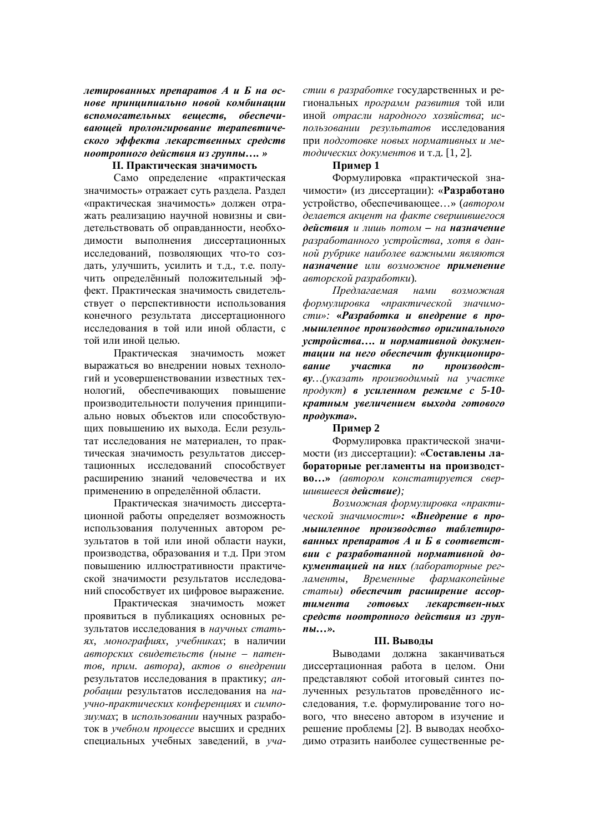летированных препаратов А и Б на основе принципиально новой комбинации *вспомогательных вешеств, обеспечиɜɚɸɳɟɣ ɩɪɨɥɨɧɝɢɪɨɜɚɧɢɟ ɬɟɪɚɩɟɜɬɢɱɟ*ского эффекта лекарственных средств  $HOOMDOPHO2O$  действия из группы.... »

#### **II. Практическая значимость**

Само определение «практическая значимость» отражает суть раздела. Раздел «практическая значимость» должен отражать реализацию научной новизны и свидетельствовать об оправданности, необходимости выполнения диссертационных исследований, позволяющих что-то соз-ДАТЬ, УЛУЧШИТЬ, УСИЛИТЬ И Т.Д., Т.С. ПОЛУчить определённый положительный эффект. Практическая значимость свидетельствует о перспективности использования конечного результата диссертационного исслелования в той или иной области, с той или иной целью.

Практическая значимость может выражаться во внедрении новых технологий и усовершенствовании известных технологий, обеспечивающих повышение производительности получения принципиально новых объектов или способствующих повышению их выхода. Если результат исследования не материален, то практическая значимость результатов диссертационных исследований способствует расширению знаний человечества и их применению в определённой области.

Практическая значимость диссертационной работы определяет возможность использования полученных автором результатов в той или иной области науки, производства, образования и т.д. При этом повышению иллюстративности практической значимости результатов исследований способствует их цифровое выражение.

Практическая значимость может проявиться в публикациях основных результатов исследования в научных статьях, монографиях, учебниках; в наличии  $a$ вторских свидетельств (ныне – патен $m$ <sup>0</sup>, *прим. автора*), *актов о внедрении* результатов исследования в практику; *anробации* результатов исследования на научно-практических конференциях и симпозиумах: в использовании научных разработок в учебном процессе высших и средних специальных учебных заведений, в участии в разработке государственных и региональных программ развития той или иной *отрасли народного хозяйства*: использовании результатов исследования при подготовке новых нормативных и ме*тодических документов* и т.д. [1, 2].

### **ɉɪɢɦɟɪ 1**

Формулировка «практической значимости» (из диссертации): «**Разработано** устройство, обеспечивающее...» (автором делается акцент на факте свершившегося **действия** и лишь потом - на назначение  $pa$ зработанного устройства, хотя в данной рубрике наиболее важными являются **НАЗНАЧЕНИЕ** ИЛИ ВОЗМОЖНОЕ ПРИМЕНЕНИЕ  $a$ вторской разработки).

Предлагаемая нами возможная  $\boldsymbol{do}$ *ормулировка «практической значимо* $cmu$ »: «Разработка и внедрение в про**мышленное производство оригинального** *устройства.... и нормативной докуменɬɚɰɢɢ ɧɚ ɧɟɝɨ ɨɛɟɫɩɟɱɢɬ ɮɭɧɤɰɢɨɧɢɪɨ***вание** участка по производст- $\boldsymbol{\delta}$ у...(*указать производимый на участке продукт*) в усиленном режиме с 5-10**кратным увеличением выхода готового** *<i>kma*».

#### **Пример 2**

Формулировка практической значимости (из диссертации): «Составлены ла**бораторные регламенты на производство...**» (автором констатируется свер $uu$ ившееся действие);

 $B$ озможная формулировка «практи**ческой значимости»: «Внедрение в про***ɦɵɲɥɟɧɧɨɟ ɩɪɨɢɡɜɨɞɫɬɜɨ ɬɚɛɥɟɬɢɪɨɜɚɧɧɵɯ ɩɪɟɩɚɪɚɬɨɜȺ ɢ Ȼ ɜ ɫɨɨɬɜɟɬɫɬ*вии с разработанной нормативной до**күментацией на них** (лабораторные регдаменты, Временные фармакопейные  $c$ татьи) обеспечит расширение ассортимента готовых лекарствен-ных средств ноотропного действия из груп $n_{bl...}$ 

#### **III.** Выводы

Выводами должна заканчиваться диссертационная работа в целом. Они представляют собой итоговый синтез полученных результатов проведённого исследования, т.е. формулирование того нового, что внесено автором в изучение и решение проблемы [2]. В выводах необходимо отразить наиболее существенные ре-